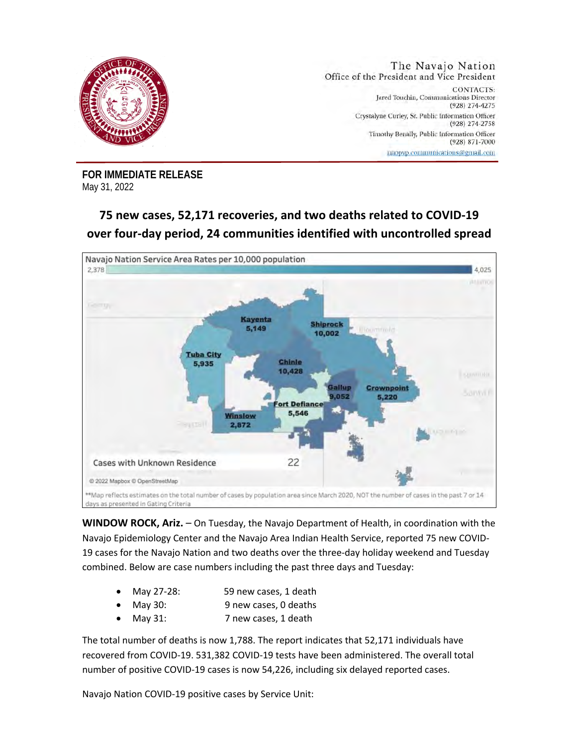

**FOR IMMEDIATE RELEASE**  May 31, 2022

## **75 new cases, 52,171 recoveries, and two deaths related to COVID-19 over four-day period, 24 communities identified with uncontrolled spread**



**WINDOW ROCK, Ariz.** – On Tuesday, the Navajo Department of Health, in coordination with the Navajo Epidemiology Center and the Navajo Area Indian Health Service, reported 75 new COVID-19 cases for the Navajo Nation and two deaths over the three-day holiday weekend and Tuesday combined. Below are case numbers including the past three days and Tuesday:

- May 27-28: 59 new cases, 1 death
	- May 30: 9 new cases, 0 deaths
- May 31: 7 new cases, 1 death

The total number of deaths is now 1,788. The report indicates that 52,171 individuals have recovered from COVID-19. 531,382 COVID-19 tests have been administered. The overall total number of positive COVID-19 cases is now 54,226, including six delayed reported cases.

Navajo Nation COVID-19 positive cases by Service Unit: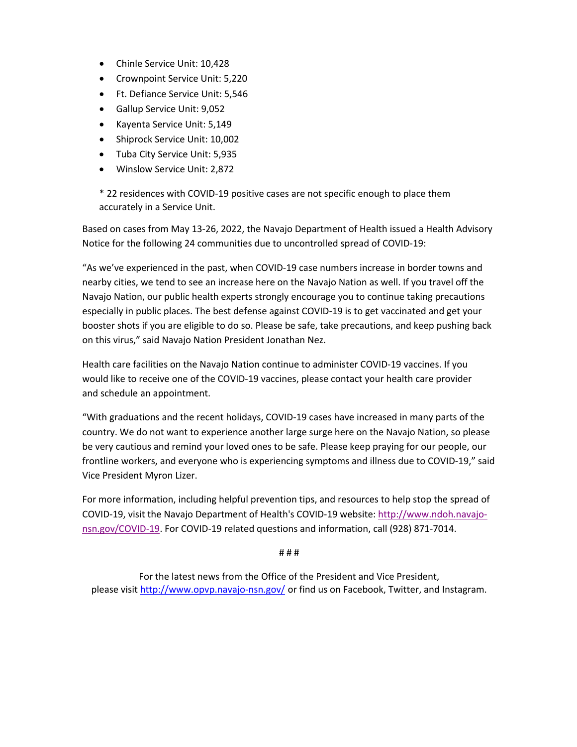- Chinle Service Unit: 10,428
- Crownpoint Service Unit: 5,220
- Ft. Defiance Service Unit: 5,546
- Gallup Service Unit: 9,052
- Kayenta Service Unit: 5,149
- Shiprock Service Unit: 10,002
- Tuba City Service Unit: 5,935
- Winslow Service Unit: 2,872

\* 22 residences with COVID-19 positive cases are not specific enough to place them accurately in a Service Unit.

Based on cases from May 13-26, 2022, the Navajo Department of Health issued a Health Advisory Notice for the following 24 communities due to uncontrolled spread of COVID-19:

"As we've experienced in the past, when COVID-19 case numbers increase in border towns and nearby cities, we tend to see an increase here on the Navajo Nation as well. If you travel off the Navajo Nation, our public health experts strongly encourage you to continue taking precautions especially in public places. The best defense against COVID-19 is to get vaccinated and get your booster shots if you are eligible to do so. Please be safe, take precautions, and keep pushing back on this virus," said Navajo Nation President Jonathan Nez.

Health care facilities on the Navajo Nation continue to administer COVID-19 vaccines. If you would like to receive one of the COVID-19 vaccines, please contact your health care provider and schedule an appointment.

"With graduations and the recent holidays, COVID-19 cases have increased in many parts of the country. We do not want to experience another large surge here on the Navajo Nation, so please be very cautious and remind your loved ones to be safe. Please keep praying for our people, our frontline workers, and everyone who is experiencing symptoms and illness due to COVID-19," said Vice President Myron Lizer.

For more information, including helpful prevention tips, and resources to help stop the spread of COVID-19, visit the Navajo Department of Health's COVID-19 website: http://www.ndoh.navajonsn.gov/COVID-19. For COVID-19 related questions and information, call (928) 871-7014.

# # #

For the latest news from the Office of the President and Vice President, please visit http://www.opvp.navajo-nsn.gov/ or find us on Facebook, Twitter, and Instagram.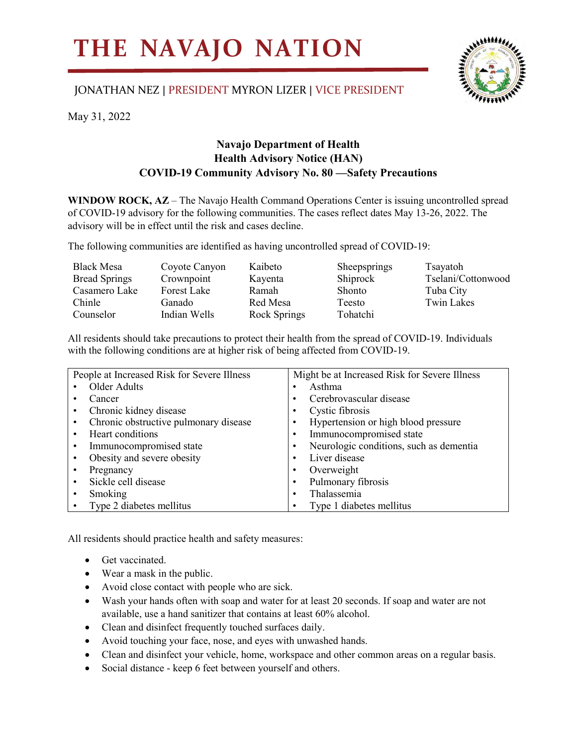## **THE NAVAJO NATION**

## JONATHAN NEZ | PRESIDENT MYRON LIZER | VICE PRESIDENT



May 31, 2022

## **Navajo Department of Health Health Advisory Notice (HAN) COVID-19 Community Advisory No. 80 —Safety Precautions**

**WINDOW ROCK, AZ** – The Navajo Health Command Operations Center is issuing uncontrolled spread of COVID-19 advisory for the following communities. The cases reflect dates May 13-26, 2022. The advisory will be in effect until the risk and cases decline.

The following communities are identified as having uncontrolled spread of COVID-19:

| <b>Black Mesa</b>    | Coyote Canyon | Kaibeto      | Sheepsprings  | Tsayatoh           |
|----------------------|---------------|--------------|---------------|--------------------|
| <b>Bread Springs</b> | Crownpoint    | Kayenta      | Shiprock      | Tselani/Cottonwood |
| Casamero Lake        | Forest Lake   | Ramah        | <b>Shonto</b> | Tuba City          |
| Chinle               | Ganado        | Red Mesa     | Teesto        | Twin Lakes         |
| Counselor            | Indian Wells  | Rock Springs | Tohatchi      |                    |

All residents should take precautions to protect their health from the spread of COVID-19. Individuals with the following conditions are at higher risk of being affected from COVID-19.

| People at Increased Risk for Severe Illness        | Might be at Increased Risk for Severe Illness |  |
|----------------------------------------------------|-----------------------------------------------|--|
| Older Adults                                       | Asthma                                        |  |
| Cancer<br>٠                                        | Cerebrovascular disease                       |  |
| Chronic kidney disease<br>$\bullet$                | Cystic fibrosis                               |  |
| Chronic obstructive pulmonary disease<br>$\bullet$ | Hypertension or high blood pressure           |  |
| Heart conditions<br>٠                              | Immunocompromised state                       |  |
| Immunocompromised state<br>$\bullet$               | Neurologic conditions, such as dementia       |  |
| Obesity and severe obesity<br>٠                    | Liver disease                                 |  |
| Pregnancy<br>٠                                     | Overweight                                    |  |
| Sickle cell disease<br>$\bullet$                   | Pulmonary fibrosis                            |  |
| Smoking<br>$\bullet$                               | Thalassemia                                   |  |
| Type 2 diabetes mellitus                           | Type 1 diabetes mellitus                      |  |

All residents should practice health and safety measures:

- Get vaccinated.
- Wear a mask in the public.
- Avoid close contact with people who are sick.
- Wash your hands often with soap and water for at least 20 seconds. If soap and water are not available, use a hand sanitizer that contains at least 60% alcohol.
- Clean and disinfect frequently touched surfaces daily.
- Avoid touching your face, nose, and eyes with unwashed hands.
- Clean and disinfect your vehicle, home, workspace and other common areas on a regular basis.
- Social distance keep 6 feet between yourself and others.